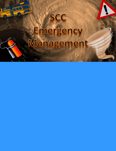# SCC Emergency Management

12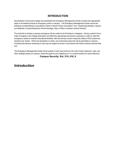## **INTRODUCTION**

Southeastern Community College has developed this Emergency Management Guide to outline the appropriate steps to be followed should an emergency arise on campus. The Emergency Management Guide covers the following: Accident/Serious Injury/Illness, Bomb or Bomb Threat, Evacuation, Fire, Threatening Weather, Hazardous Materials, Intruder/Suspicious Person/Hostage, Stay-in-Place Lockdown (Active Shooter).

The authority to declare a campus emergency will be made by the President or designee. During a period of any major emergency, the College shall place into effect the appropriate procedures necessary in order to meet the emergency needs to maintain educational facilities, with the primary concern being the safety of SCC personnel, students and visitors. When the declaration is made, only authorized personnel will be permitted on campus. Unauthorized persons remaining on site may be subject to arrest in accordance with North Carolina General Statues.

The Emergency Management Guide will be posted in hard copy format on the wall of each classroom, labs, and other strategic places on campus. Keep this guide by your telephone or in a central location for quick reference.

**Campus Security: Ext. 215, 410, 0**

# *Introduction*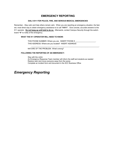## **EMERGENCY REPORTING**

#### **DIAL 9-911 FOR POLICE, FIRE, AND SERIOUS MEDICAL EMERGENCIES**

Remember…Stay calm and help others remain calm. When you are reporting an emergency situation, the fastest, most direct way to obtain emergency assistance is to call **"9-911"**. Give concise, accurate answers to the 911 operator. **Do not hang up until told to do so.** Afterwards, contact Campus Security through the switchboard **"0"** to notify of the emergency.

#### **WHAT THE 911 OPERATOR WILL NEED TO KNOW:**

THIS PHONE NUMBER: Where you are. INSERT PHONE # THIS ADDRESS: Where are you located? INSERT ADDRESS

 $\_$  , and the set of the set of the set of the set of the set of the set of the set of the set of the set of the set of the set of the set of the set of the set of the set of the set of the set of the set of the set of th

NATURE OF THE PROBLEM: What's wrong?

#### **FOLLOWING THE REPORTING OF AN EMERGENCY:**

Stay with the victim An Emergency Response Team member will inform the staff and students as needed Restore calm and move everyone away from the scene Complete an incident form and document in the SCC Business Office

# *Emergency Reporting*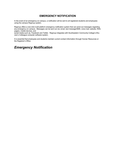## **EMERGENCY NOTIFICATION**

In the event of an emergency on campus, a notification will be sent to all registered students and employees using the campus Regroup system.

Regroup offers a one-click multi-platform emergency notification system that can send out messages regarding any emergency on campus. Messages can be sent out via: email, text message/SMS, voice mail, website, RSS, pagers, mobile devices, and

social media such as, Facebook and Twitter. Regroup integrates with Southeastern Community College's Ellucian's Colleague computer software system.

It is essential that employees and students maintain current contact information through Human Resources or the Registrar's Office.

# *Emergency Notification*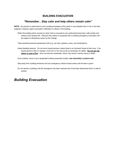## **BUILDING EVACUATION**

## *"Remember…Stay calm and help others remain calm"*

**NOTE:** Any person is authorized to pull a building emergency (fire) alarm in any situation that, in his or her best judgment, requires urgent evacuation notification to others in the building.

When the building alarm sounds (or when told to evacuate by any authorized personnel), walk quickly and calmly to the nearest exit. Persons who refuse to cooperate with a building emergency evacuation will be subject to disciplinary action by the College.

Take essential personal possessions with (e.g. car keys, glasses, purse, and medications).

Assist disabled persons. Do not move injured persons unless there is an imminent threat to their lives. If an injured person's life is in danger, move him or her only as far as necessary for safety. **Do not use elevators in case of fire** – they can become inoperable, which may result in serious injury or death.

Once outside, move to your designated building assembly location (**see Assembly Locations tab**).

Stay away from building entrances and any emergency vehicle access areas until all-clear is given.

Do not reenter a building until the emergency has been resolved and it has been determines that it is safe to reenter.

# *Building Evacuation*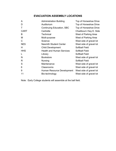# **EVACUATION ASSEMBLY LOCATIONS**

| A           | <b>Administration Building</b>   | Top of Horseshoe Drive  |
|-------------|----------------------------------|-------------------------|
| D           | Auditorium                       | Top of Horseshoe Drive  |
| T           | Continuing Education, SBC        | Top of Horseshoe Drive  |
| <b>CART</b> | Cartrette                        | Chadbourn Hwy E. Side   |
| B           | <b>Technical</b>                 | West of Parking Area    |
| M           | Multi-purpose                    | West of Parking Area    |
| C           | Science                          | West side of gravel lot |
| <b>NES</b>  | <b>Nesmith Student Center</b>    | West side of gravel lot |
| H           | <b>Child Development</b>         | Softball Field          |
| <b>HHS</b>  | <b>Health and Human Services</b> | Softball Field          |
| L           | Library                          | <b>Softball Field</b>   |
| N           | <b>Bookstore</b>                 | West side of gravel lot |
| R           | Nursing                          | <b>Softball Field</b>   |
| S           | Maintenance                      | West side of gravel lot |
| 6           | <b>Classrooms</b>                | West side of gravel lot |
| 9           | Human Resource Development       | West side of gravel lot |
| 11          | Bio-technology                   | West side of gravel lot |

Note: Early College students will assemble at the ball field.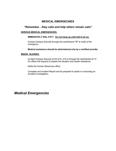## **MEDICAL EMERGECNIES**

## *"Remember…Stay calm and help others remain calm"*

#### **SERIOUS MEDICAL EMERGENCIES:**

#### **IMMEDIATELY DIAL 9-911. Do not hang up until told to do so.**

Contact Campus Security through the switchboard **"0"** to notify of the emergency.

**Medical assistance should be administered only by a certified provider**

#### **MINOR INJURIES:**

Contact Campus Security at Ext 215, 410 or through the switchboard at "0". An officer will respond to assess the situation and render assistance.

Notify the Human Resources office.

Complete and Incident Report and be prepared to assist in conducting an Accident Investigation.

# *Medical Emergencies*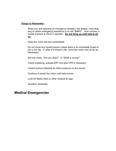#### *Things to Remember:*

When you are reporting an emergency situation, the fastest, most direc way to obtain emergency assistance is to call **"9-911"**. Give concise, a curate answers to the 911 operator. **Do not hang up until told to do so.**

Keep the victim still and comfortable

Do not move any injured person unless there is an immediate threat to his or her life. In case of a threat to life, move the victim only as far as Necessary.

Ask the victim, "Are you okay?" or "What is wrong?"

Check breathing, activate ERT and give CPR if necessary

Control serious bleeding by direct pressure on the wound

Continue to assist the victim until help arrives

Look for Medic-Alert or other medical ID tags

Question witnesses

# *Medical Emergencies*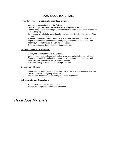## **HAZARDOUS MATERIALS**

#### **If you think you see a potentially hazardous material:**

Identify the potential threat to the College.

**DIAL 9-911 (on personal phones dial 911) and provide details.**

Contact campus security through the campus switchboard **"0"** as soon as possible to report the incident.

If a transport vehicle is involved, look for the insignia or the chemical codes of the potential health threats.

When reporting the incident, report the type of hazardous threat, if you know it. Report important information to the emergency responders, such as color and hazard symbol that was on the vehicle or container.

Take any steps you deem necessary to protect lives.

#### **Biological Hazardous Materials:**

Identify the potential threat to the College. Materials such as blood must be handled by an appropriately trained individual. Report important information to the emergency responders, such as color and hazard symbol that was on the vehicle or container. Take any steps you deem necessary to protect lives.

#### **Contaminated Persons:**

Isolate them to avoid contaminating others, BUT keep them in the immediate area. Obtain names for emergency personnel. First aid and decontamination will begin as soon as possible.

#### **Lab Instructors or Supervisors:**

Evacuate an affected area immediately. Seal off area to prevent further contamination.

# *Hazardous Materials*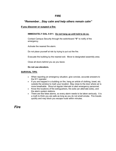## **FIRE**

## *"Remember…Stay calm and help others remain calm"*

### **If you discover or suspect a fire:**

#### **IMMEDIATELY DIAL 9-911. Do not hang up until told to do so.**

Contact Campus Security through the switchboard **"0"** to notify of the emergency.

Activate the nearest fire alarm.

Do not place yourself at risk by trying to put out the fire.

Evacuate the building by the nearest exit. Move to designated assembly area.

Close all doors behind you as you leave.

#### **Do not use elevators.**

#### **SURVIVAL TIPS:**

- When reporting an emergency situation, give concise, accurate answers to the 911 operator
- If you are trapped in a building on fire, hang an article of clothing, towel, etc. outside the window to mark your location. Stay close to the door where air is more breathable. Shout at regular intervals to alert emergency personnel.
- Know the locations of fire extinguishers, fire exits (an alternate exits), and the alarm system stations.
- There are few false alarms, so every alarm needs to be taken seriously. It is a myth to think you are safe as long as you do not smell smoke. Fire travels quickly and may block you escape route within minutes.

*Fire*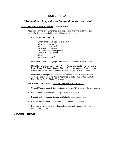## **BOMB THREAT**

## *"Remember…Stay calm and help others remain calm"*

#### **IF YOU RECEIVE A BOMB THREAT**: *DO NOT PANIC!*

Keep caller on the telephone for as long as possible and try to determine the reason for the placement of the alleged bomb and its location.

Ask the following questions:

When is the bomb going to explode? Where is it right now? What does it look like? What kind of bomb is it? What will cause it to explode? Did you place the bomb? Why? What is your name?

Make Note of Threat Language: Well-spoken, Incoherent, Foul, Irrational

Make Note of Caller's Voice: Calm, Nasal, Angry, Excited, Lisp, Slow, Raspy, Rapid, Deep, Soft, Loud, Clearing Throat, Crying, Whispering, Cracking Voice, Normal, Disguised, Deep Breathing, Accent, Slurred, Familiar, Distinct

Make Note of Background Noises: Quiet, Bedlam, Office Machine, Voices, Animals, Factory Machine, Music, Airplanes, Cellular Phone, Radios, Party Noise, Street Traffic, Static, PA system

#### **IMMEDIATELY DIAL 9-911. Do not hang up until told to do so.**

- Contact Campus Security through the switchboard **"0"** to notify of the emergency.
- Wait for decision on whether to stay in place or evacuate.
- If asked, look for unusual devices and listen for suspicious noises.
- If asked, look for and report any items that may be out of place.
- If ordered to evacuate, stay in designated areas until you are told it is safe to return to the building.

# *Bomb Threat*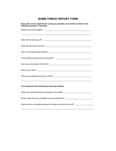# **BOMB THREAT REPORT FORM**

| Keep caller on the telephone for as long as possible and ascertain answers to the<br>following questions, if possible: |  |  |
|------------------------------------------------------------------------------------------------------------------------|--|--|
|                                                                                                                        |  |  |
|                                                                                                                        |  |  |
|                                                                                                                        |  |  |
|                                                                                                                        |  |  |
|                                                                                                                        |  |  |
|                                                                                                                        |  |  |
|                                                                                                                        |  |  |
|                                                                                                                        |  |  |
|                                                                                                                        |  |  |
| Try to determine the following by listening carefully:                                                                 |  |  |
| What is the approximate age and gender of the caller? __________________________                                       |  |  |
| Did the caller have any noticeable voice characteristics? _______________________                                      |  |  |
| Were there any noticeable background noises during the phone call?                                                     |  |  |
|                                                                                                                        |  |  |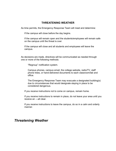## **THREATENING WEATHER**

As time permits, the Emergency Response Team will meet and determine:

If the campus will close before the day begins.

If the campus will remain open and the students/employees will remain safe on the campus until the threat is over.

If the campus will close and all students and employees will leave the campus.

As decisions are made, directives will be communicated as needed through one or more of the following methods:

"Regroup" notification system.

Campus phones, campus email, the college website, radio/TV, staff phone trees, or hand-delivered documents to each classroom/lab and office.

The Emergency Response Team may evacuate a designated building(s) due to circumstances that would designate staying in place to be considered dangerous.

If you receive instructions not to come on campus, remain home.

If you receive instructions to remain in place, do not leave your area until you receive an ―all clear.

If you receive instructions to leave the campus, do so in a calm and orderly manner.

# *Threatening Weather*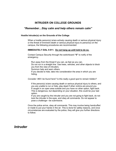## **INTRUDER ON COLLEGE GROUNDS**

## *"Remember…Stay calm and help others remain calm"*

#### **Hostile Intruder(s) on the Grounds of the College**

When a hostile person(s) is/are actively causing death or serious physical injury or the threat of imminent death or serious physical injury to person(s) on the campus, the following procedures are recommended:

#### **IMMEDIATELY DIAL 9-911. Do not hang up until told to do so.**

Contact Campus Security through the switchboard **"0"** to notify of the emergency.

Run away from the threat if you can, as fast as you can. Do not run in a straight line. Use trees, vehicles, and other objects to block you from the view of intruders. Summon help and warn others.

If you decide to hide, take into consideration the area in which you are hiding.

*Consider: Will I be found here? Is this really a good spot to remain hidden?*

If the person(s) is/are causing death or serious physical injury to others, and you are unable to run or hide, play dead if other victims are around you If caught in an open area outside and you have no other option, fight back. This is dangerous, but depending on your situation, this could be your last option.

If you are caught by the intruder and you are not going to fight back, do not look the intruder in the eyes, and obey all commands. Do not appear to pose a challenge—be submissive.

Once the police arrive, obey all commands. This may involve being handcuffed or made to put your hands in the air. This is done for safety reasons, and once circumstances are evaluated by the police, they will give you further directions to follow.

# *Intruder*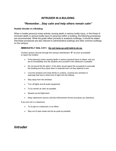## **INTRUDER IN A BULIDING**

## *"Remember…Stay calm and help others remain calm"*

#### **Hostile Intruder in a Building**

When a hostile person(s) is/are actively causing death or serious bodily injury, or the threat of imminent death or serious bodily injury to person(s) within a building, the following procedures are recommended. While the guide refers primarily to academic buildings, it should be stated that these procedures are also relevant to administrative buildings and other common buildings on the campus.

#### **IMMEDIATELY DIAL 9-911. Do not hang up until told to do so.**

Contact campus security through the campus switchboard **"0"** as soon as possible to report the incident

- If the person(s) is/are causing death or serious physical injury to others, and you are to immediately lock the students and yourself in the classroom if possible.
- Do not sound the fire alarm. A fire alarm would signal the occupants to evacuate the building and thus place them in potential harm as they attempt to exit.
- Lock the windows and close blinds or curtains, covering any windows or openings that have a direct line of sight into the hallway.
- Stay away from the windows.
- Turn off lights and all audio equipment.
- Try to remain as calm as possible.
- Spread out and fight back.
- Keep classrooms secure until law enforcement arrives and gives you directions.

If you are not in a classroom:

- Try to get to a classroom or an office.
- Stay out of open areas and be as quiet as possible.

# *Intruder*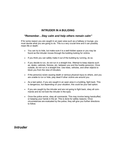## **INTRUDER IN A BULIDING**

## *"Remember…Stay calm and help others remain calm"*

If for some reason you are caught in an open area such as a hallway or lounge, you must decide what you are going to do. This is a very crucial time and it can possibly mean life or death:

- You can try to hide, but make sure it is a well-hidden space or you may be found as the intruder moves through the building looking for victims.
- If you think you can safely make it out of the building by running, do so.
- If you decide to run, do not run in a straight line. Attempt to keep objects such as, desks, cabinets, fixtures, etc. between you and the hostile person(s). Once outside, do not run in a straight line. Use trees, vehicles, and other objects to block you from the view of intruders.
- If the person(s) is/are causing death or serious physical injury to others, and you are unable to run or hide, play dead if other victims are around you.
- As a last option, if you are caught in an open area in a building, fight back. This is dangerous, but depending on your situation, this could be your last option.
- If you are caught by the intruder and are not going to fight back, obey all commands and do not look the intruder in the eyes.
- Once the police arrive, obey all commands. This may involve being handcuffed, or keeping your hands in the air. This is done for safety reasons. Once circumstances are evaluated by the police, they will give you further directions to follow.

*Intruder*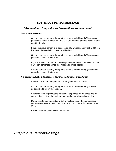## **SUSPICIOUS PERSON/HOSTAGE**

## *"Remember…Stay calm and help others remain calm"*

#### **Suspicious Person(s)**

Contact campus security through the campus switchboard (0) as soon as possible to report the incident, or 9-911 (on personal phones dial 911) and provide details.

If the suspicious person is in possession of a weapon, notify call 9-911 (on Personal phones dial 911) and provide details.

Contact campus security through the campus switchboard (0) as soon as possible to report the incident.

If you are faculty or staff, and the suspicious person is in a classroom, call 9-911 (on personal phones dial 911) and provide details.

Contact campus security through the campus switchboard (0) as soon as possible to report the incident.

#### *If a hostage situation develops, follow these additional procedures:*

Call 9-911 (on personal phones dial 911) and provide details.

Contact campus security through the campus switchboard (0) as soon as possible to report the incident.

Gather all facts regarding the situation: Keep notes on the times and an communication from the hostage taker and other witness information.

Do not initiate communication with the hostage taker. If communication becomes necessary, restrict it to one person until law enforcement takes over.

Follow all orders given by law enforcement.

# *Suspicious Person/Hostage*